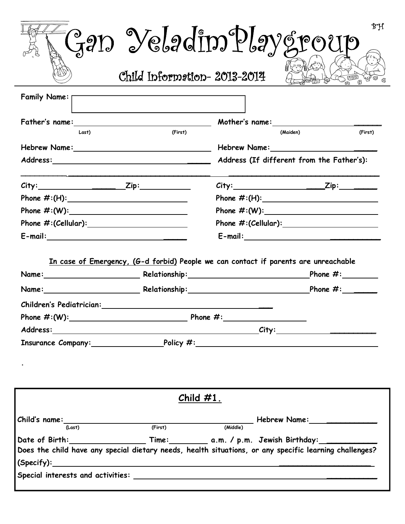| Child's name: _____________________<br>(Last)                                                                                                                                                                                                                                                                                                                                                    | <u>Child #1.</u><br>(First)  | _______ Hebrew Name:_____________<br>(Middle)<br>Date of Birth:____________________Time:___________a.m. / p.m. Jewish Birthday: ________<br>Does the child have any special dietary needs, health situations, or any specific learning challenges?    |  |
|--------------------------------------------------------------------------------------------------------------------------------------------------------------------------------------------------------------------------------------------------------------------------------------------------------------------------------------------------------------------------------------------------|------------------------------|-------------------------------------------------------------------------------------------------------------------------------------------------------------------------------------------------------------------------------------------------------|--|
|                                                                                                                                                                                                                                                                                                                                                                                                  |                              |                                                                                                                                                                                                                                                       |  |
|                                                                                                                                                                                                                                                                                                                                                                                                  |                              |                                                                                                                                                                                                                                                       |  |
|                                                                                                                                                                                                                                                                                                                                                                                                  |                              |                                                                                                                                                                                                                                                       |  |
|                                                                                                                                                                                                                                                                                                                                                                                                  |                              |                                                                                                                                                                                                                                                       |  |
|                                                                                                                                                                                                                                                                                                                                                                                                  |                              | Insurance Company: Policy #: Providence Company:                                                                                                                                                                                                      |  |
|                                                                                                                                                                                                                                                                                                                                                                                                  |                              |                                                                                                                                                                                                                                                       |  |
| Phone $\#:(W)$ :                                                                                                                                                                                                                                                                                                                                                                                 |                              | Phone $\#$ :                                                                                                                                                                                                                                          |  |
|                                                                                                                                                                                                                                                                                                                                                                                                  |                              |                                                                                                                                                                                                                                                       |  |
|                                                                                                                                                                                                                                                                                                                                                                                                  |                              | _Phone $\boldsymbol{\#}$ :________<br>Phone $\#$ :<br>Name: Name: Name: Nelationship: Name: Name: Name: Name: Name: Name: Name: Name: Name: Name: Name: Name: Name: N                                                                                 |  |
|                                                                                                                                                                                                                                                                                                                                                                                                  |                              | In case of Emergency, (G-d forbid) People we can contact if parents are unreachable                                                                                                                                                                   |  |
|                                                                                                                                                                                                                                                                                                                                                                                                  |                              |                                                                                                                                                                                                                                                       |  |
|                                                                                                                                                                                                                                                                                                                                                                                                  |                              |                                                                                                                                                                                                                                                       |  |
|                                                                                                                                                                                                                                                                                                                                                                                                  |                              |                                                                                                                                                                                                                                                       |  |
| $City:$ $Zip:$ $\qquad \qquad$ $\qquad \qquad$ $\qquad \qquad$ $\qquad \qquad$ $\qquad \qquad$ $\qquad \qquad$ $\qquad \qquad$ $\qquad \qquad$ $\qquad \qquad$ $\qquad \qquad$ $\qquad \qquad$ $\qquad \qquad$ $\qquad \qquad$ $\qquad \qquad$ $\qquad \qquad$ $\qquad \qquad$ $\qquad \qquad$ $\qquad \qquad$ $\qquad$ $\qquad \qquad$ $\qquad$ $\qquad \qquad$ $\qquad \qquad$ $\qquad \qquad$ |                              | $City:$ $Zip:$ $Zip:$                                                                                                                                                                                                                                 |  |
|                                                                                                                                                                                                                                                                                                                                                                                                  |                              | Address (If different from the Father's):                                                                                                                                                                                                             |  |
|                                                                                                                                                                                                                                                                                                                                                                                                  |                              | Hebrew Name: 1988 Mehreum 1988                                                                                                                                                                                                                        |  |
| Last)                                                                                                                                                                                                                                                                                                                                                                                            | (First)                      | Mother's name: the contract of the contract of the contract of the contract of the contract of the contract of the contract of the contract of the contract of the contract of the contract of the contract of the contract of<br>(Maiden)<br>(First) |  |
| Family Name: [                                                                                                                                                                                                                                                                                                                                                                                   |                              |                                                                                                                                                                                                                                                       |  |
|                                                                                                                                                                                                                                                                                                                                                                                                  | Child Information- 2013-2014 | ි ලි                                                                                                                                                                                                                                                  |  |
|                                                                                                                                                                                                                                                                                                                                                                                                  |                              | Gap Yeladim Playgroup                                                                                                                                                                                                                                 |  |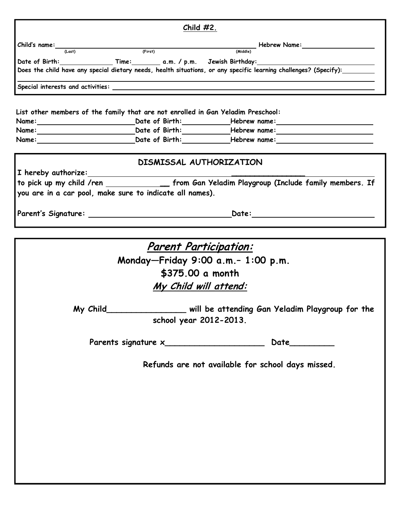|                                                                                  | Child $#2$ .            |                                                                                                                        |
|----------------------------------------------------------------------------------|-------------------------|------------------------------------------------------------------------------------------------------------------------|
| Child's name: $\frac{1}{(1.051)}$ (First)                                        |                         | Hebrew Name: Middle)                                                                                                   |
|                                                                                  |                         | Date of Birth:_______________Time:_________a.m. / p.m. Jewish Birthday:_____________________________                   |
|                                                                                  |                         | Does the child have any special dietary needs, health situations, or any specific learning challenges? (Specify):      |
|                                                                                  |                         |                                                                                                                        |
|                                                                                  |                         |                                                                                                                        |
|                                                                                  |                         |                                                                                                                        |
| List other members of the family that are not enrolled in Gan Yeladim Preschool: |                         |                                                                                                                        |
|                                                                                  |                         | Name:___________________________Date of Birth:_____________Hebrew name:_____________________________                   |
|                                                                                  |                         | Name:____________________________Date of Birth:_____________Hebrew name:____________________________                   |
|                                                                                  |                         | Name: <u>Date of Birth: Hebrew name:</u> Name: New Manne: Name: New Manne: Name: Name: Name: Name: Name: Name: Name: N |
|                                                                                  | DISMISSAL AUTHORIZATION |                                                                                                                        |
|                                                                                  |                         |                                                                                                                        |
|                                                                                  |                         | to pick up my child /ren ___________________ from Gan Yeladim Playgroup (Include family members. If                    |

**Parent's Signature: Date:** 

| <b>Parent Participation:</b>                |                                                          |  |  |  |  |
|---------------------------------------------|----------------------------------------------------------|--|--|--|--|
| Monday-Friday 9:00 a.m.- 1:00 p.m.          |                                                          |  |  |  |  |
| \$375.00 a month                            |                                                          |  |  |  |  |
| My Child will attend:                       |                                                          |  |  |  |  |
| My Child_________<br>school year 2012-2013. | ________ will be attending Gan Yeladim Playgroup for the |  |  |  |  |
|                                             | Date________                                             |  |  |  |  |
|                                             | Refunds are not available for school days missed.        |  |  |  |  |
|                                             |                                                          |  |  |  |  |